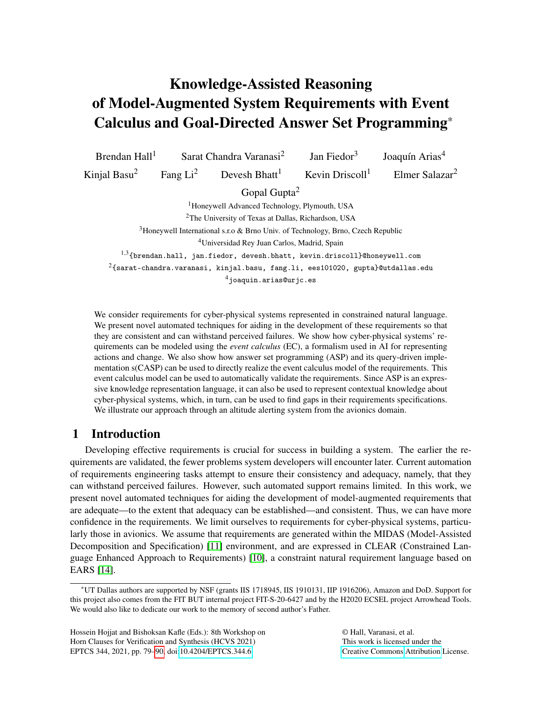# Knowledge-Assisted Reasoning of Model-Augmented System Requirements with Event Calculus and Goal-Directed Answer Set Programming\*

Brendan Hall<sup>1</sup> Sarat Chandra Varanasi<sup>2</sup> Jan Fiedor<sup>3</sup> Joaquín Arias<sup>4</sup> Kinjal Basu<sup>2</sup> Fang Li<sup>2</sup> Devesh Bhatt<sup>1</sup> Kevin Driscoll<sup>1</sup> Elmer Salazar<sup>2</sup> Gopal Gupta<sup>2</sup> <sup>1</sup>Honeywell Advanced Technology, Plymouth, USA <sup>2</sup>The University of Texas at Dallas, Richardson, USA <sup>3</sup>Honeywell International s.r.o & Brno Univ. of Technology, Brno, Czech Republic <sup>4</sup>Universidad Rey Juan Carlos, Madrid, Spain  $^{1,3}$ {brendan.hall, jan.fiedor, devesh.bhatt, kevin.driscoll}@honeywell.com  $^{2}$ {sarat-chandra.varanasi, kinjal.basu, fang.li, ees101020, gupta}@utdallas.edu <sup>4</sup>joaquin.arias@urjc.es

We consider requirements for cyber-physical systems represented in constrained natural language. We present novel automated techniques for aiding in the development of these requirements so that they are consistent and can withstand perceived failures. We show how cyber-physical systems' requirements can be modeled using the *event calculus* (EC), a formalism used in AI for representing actions and change. We also show how answer set programming (ASP) and its query-driven implementation s(CASP) can be used to directly realize the event calculus model of the requirements. This event calculus model can be used to automatically validate the requirements. Since ASP is an expressive knowledge representation language, it can also be used to represent contextual knowledge about cyber-physical systems, which, in turn, can be used to find gaps in their requirements specifications. We illustrate our approach through an altitude alerting system from the avionics domain.

# 1 Introduction

Developing effective requirements is crucial for success in building a system. The earlier the requirements are validated, the fewer problems system developers will encounter later. Current automation of requirements engineering tasks attempt to ensure their consistency and adequacy, namely, that they can withstand perceived failures. However, such automated support remains limited. In this work, we present novel automated techniques for aiding the development of model-augmented requirements that are adequate—to the extent that adequacy can be established—and consistent. Thus, we can have more confidence in the requirements. We limit ourselves to requirements for cyber-physical systems, particularly those in avionics. We assume that requirements are generated within the MIDAS (Model-Assisted Decomposition and Specification) [\[11\]](#page-11-1) environment, and are expressed in CLEAR (Constrained Language Enhanced Approach to Requirements) [\[10\]](#page-11-2), a constraint natural requirement language based on EARS [\[14\]](#page-11-3).

Hossein Hojjat and Bishoksan Kafle (Eds.): 8th Workshop on Horn Clauses for Verification and Synthesis (HCVS 2021) EPTCS 344, 2021, pp. 79[–90,](#page-11-0) doi[:10.4204/EPTCS.344.6](http://dx.doi.org/10.4204/EPTCS.344.6)

© Hall, Varanasi, et al. This work is licensed under the [Creative Commons](https://creativecommons.org) [Attribution](https://creativecommons.org/licenses/by/4.0/) License.

<sup>\*</sup>UT Dallas authors are supported by NSF (grants IIS 1718945, IIS 1910131, IIP 1916206), Amazon and DoD. Support for this project also comes from the FIT BUT internal project FIT-S-20-6427 and by the H2020 ECSEL project Arrowhead Tools. We would also like to dedicate our work to the memory of second author's Father.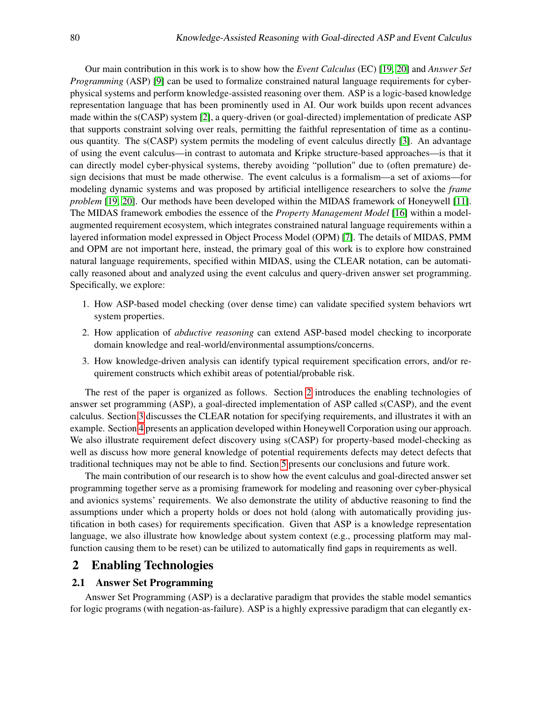Our main contribution in this work is to show how the *Event Calculus* (EC) [\[19,](#page-11-4) [20\]](#page-11-5) and *Answer Set Programming* (ASP) [\[9\]](#page-11-6) can be used to formalize constrained natural language requirements for cyberphysical systems and perform knowledge-assisted reasoning over them. ASP is a logic-based knowledge representation language that has been prominently used in AI. Our work builds upon recent advances made within the s(CASP) system [\[2\]](#page-11-7), a query-driven (or goal-directed) implementation of predicate ASP that supports constraint solving over reals, permitting the faithful representation of time as a continuous quantity. The s(CASP) system permits the modeling of event calculus directly [\[3\]](#page-11-8). An advantage of using the event calculus—in contrast to automata and Kripke structure-based approaches—is that it can directly model cyber-physical systems, thereby avoiding "pollution" due to (often premature) design decisions that must be made otherwise. The event calculus is a formalism—a set of axioms—for modeling dynamic systems and was proposed by artificial intelligence researchers to solve the *frame problem* [\[19,](#page-11-4) [20\]](#page-11-5). Our methods have been developed within the MIDAS framework of Honeywell [\[11\]](#page-11-1). The MIDAS framework embodies the essence of the *Property Management Model* [\[16\]](#page-11-9) within a modelaugmented requirement ecosystem, which integrates constrained natural language requirements within a layered information model expressed in Object Process Model (OPM) [\[7\]](#page-11-10). The details of MIDAS, PMM and OPM are not important here, instead, the primary goal of this work is to explore how constrained natural language requirements, specified within MIDAS, using the CLEAR notation, can be automatically reasoned about and analyzed using the event calculus and query-driven answer set programming. Specifically, we explore:

- 1. How ASP-based model checking (over dense time) can validate specified system behaviors wrt system properties.
- 2. How application of *abductive reasoning* can extend ASP-based model checking to incorporate domain knowledge and real-world/environmental assumptions/concerns.
- 3. How knowledge-driven analysis can identify typical requirement specification errors, and/or requirement constructs which exhibit areas of potential/probable risk.

The rest of the paper is organized as follows. Section [2](#page-1-0) introduces the enabling technologies of answer set programming (ASP), a goal-directed implementation of ASP called s(CASP), and the event calculus. Section [3](#page-3-0) discusses the CLEAR notation for specifying requirements, and illustrates it with an example. Section [4](#page-6-0) presents an application developed within Honeywell Corporation using our approach. We also illustrate requirement defect discovery using s(CASP) for property-based model-checking as well as discuss how more general knowledge of potential requirements defects may detect defects that traditional techniques may not be able to find. Section [5](#page-10-0) presents our conclusions and future work.

The main contribution of our research is to show how the event calculus and goal-directed answer set programming together serve as a promising framework for modeling and reasoning over cyber-physical and avionics systems' requirements. We also demonstrate the utility of abductive reasoning to find the assumptions under which a property holds or does not hold (along with automatically providing justification in both cases) for requirements specification. Given that ASP is a knowledge representation language, we also illustrate how knowledge about system context (e.g., processing platform may malfunction causing them to be reset) can be utilized to automatically find gaps in requirements as well.

# <span id="page-1-0"></span>2 Enabling Technologies

#### 2.1 Answer Set Programming

Answer Set Programming (ASP) is a declarative paradigm that provides the stable model semantics for logic programs (with negation-as-failure). ASP is a highly expressive paradigm that can elegantly ex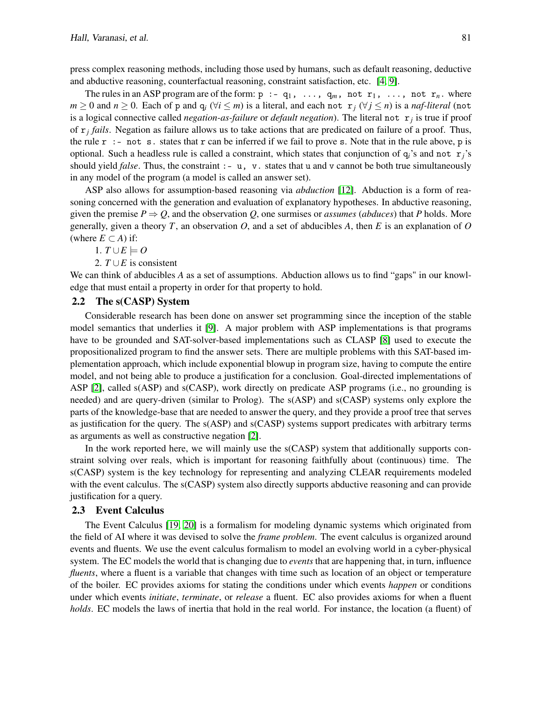press complex reasoning methods, including those used by humans, such as default reasoning, deductive and abductive reasoning, counterfactual reasoning, constraint satisfaction, etc. [\[4,](#page-11-11) [9\]](#page-11-6).

The rules in an ASP program are of the form:  $p \leftarrow q_1, \ldots, q_m$ , not  $r_1, \ldots,$  not  $r_n$ . where *m* ≥ 0 and *n* ≥ 0. Each of p and  $q_i$  ( $\forall i \leq m$ ) is a literal, and each not  $r_j$  ( $\forall j \leq n$ ) is a *naf-literal* (not is a logical connective called *negation-as-failure* or *default negation*). The literal not r*<sup>j</sup>* is true if proof of r*<sup>j</sup> fails*. Negation as failure allows us to take actions that are predicated on failure of a proof. Thus, the rule  $r : -$  not s. states that  $r$  can be inferred if we fail to prove s. Note that in the rule above, p is optional. Such a headless rule is called a constraint, which states that conjunction of  $q_i$ 's and not  $r_i$ 's should yield *false*. Thus, the constraint : - u, v. states that u and v cannot be both true simultaneously in any model of the program (a model is called an answer set).

ASP also allows for assumption-based reasoning via *abduction* [\[12\]](#page-11-12). Abduction is a form of reasoning concerned with the generation and evaluation of explanatory hypotheses. In abductive reasoning, given the premise  $P \Rightarrow Q$ , and the observation *Q*, one surmises or *assumes* (*abduces*) that *P* holds. More generally, given a theory *T*, an observation *O*, and a set of abducibles *A*, then *E* is an explanation of *O* (where  $E \subset A$ ) if:

1.  $T \cup E$   $\models$  *O* 

2. *T* ∪*E* is consistent

We can think of abducibles *A* as a set of assumptions. Abduction allows us to find "gaps" in our knowledge that must entail a property in order for that property to hold.

#### 2.2 The s(CASP) System

Considerable research has been done on answer set programming since the inception of the stable model semantics that underlies it [\[9\]](#page-11-6). A major problem with ASP implementations is that programs have to be grounded and SAT-solver-based implementations such as CLASP [\[8\]](#page-11-13) used to execute the propositionalized program to find the answer sets. There are multiple problems with this SAT-based implementation approach, which include exponential blowup in program size, having to compute the entire model, and not being able to produce a justification for a conclusion. Goal-directed implementations of ASP [\[2\]](#page-11-7), called s(ASP) and s(CASP), work directly on predicate ASP programs (i.e., no grounding is needed) and are query-driven (similar to Prolog). The s(ASP) and s(CASP) systems only explore the parts of the knowledge-base that are needed to answer the query, and they provide a proof tree that serves as justification for the query. The s(ASP) and s(CASP) systems support predicates with arbitrary terms as arguments as well as constructive negation [\[2\]](#page-11-7).

In the work reported here, we will mainly use the s(CASP) system that additionally supports constraint solving over reals, which is important for reasoning faithfully about (continuous) time. The s(CASP) system is the key technology for representing and analyzing CLEAR requirements modeled with the event calculus. The s(CASP) system also directly supports abductive reasoning and can provide justification for a query.

## 2.3 Event Calculus

The Event Calculus [\[19,](#page-11-4) [20\]](#page-11-5) is a formalism for modeling dynamic systems which originated from the field of AI where it was devised to solve the *frame problem*. The event calculus is organized around events and fluents. We use the event calculus formalism to model an evolving world in a cyber-physical system. The EC models the world that is changing due to *events* that are happening that, in turn, influence *fluents*, where a fluent is a variable that changes with time such as location of an object or temperature of the boiler. EC provides axioms for stating the conditions under which events *happen* or conditions under which events *initiate*, *terminate*, or *release* a fluent. EC also provides axioms for when a fluent *holds*. EC models the laws of inertia that hold in the real world. For instance, the location (a fluent) of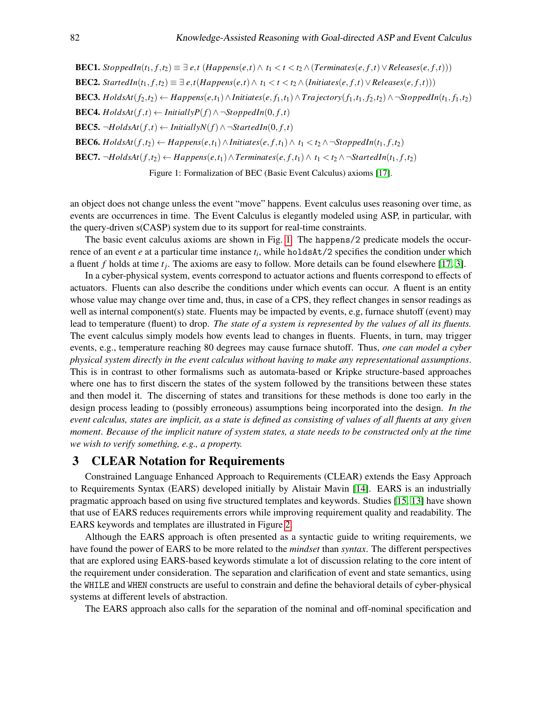<span id="page-3-1"></span>**BEC1.** StoppedIn(t<sub>1</sub>, f,t<sub>2</sub>)  $\equiv \exists e,t$  (Happens(e,t)  $\land t_1 < t < t_2 \land (Terminates(e, f, t) \lor Release(e, f, t)))$ 

**BEC2.** Started  $In(t_1, f, t_2) \equiv \exists e, t$  (Happens $(e, t) \wedge t_1 < t < t_2 \wedge (Initiates(e, f, t) \vee Release(e, f, t)))$ )

**BEC3.** Holds $At(f_2,t_2) \leftarrow Happens(e,t_1) \wedge Initiates(e,f_1,t_1) \wedge Trajectory(f_1,t_1,f_2,t_2) \wedge \neg StoppedIn(t_1,f_1,t_2)$ 

BEC4. *HoldsAt*(*f*,*t*) ← *InitiallyP*(*f*)∧ ¬*StoppedIn*(0, *f*,*t*)

BEC5. ¬*HoldsAt*(*f*,*t*) ← *InitiallyN*(*f*)∧ ¬*StartedIn*(0, *f*,*t*)

**BEC6.** *HoldsAt*( $f, t_2$ ) ← *Happens*( $e, t_1$ ) ∧ *Initiates*( $e, f, t_1$ ) ∧  $t_1 < t_2$  ∧ ¬*StoppedIn*( $t_1, f, t_2$ )

**BEC7.**  $\neg$ *HoldsAt*(*f*,*t*<sub>2</sub>) ← *Happens*(*e*,*t*<sub>1</sub>) ∧ *Terminates*(*e*,*f*,*t*<sub>1</sub>) ∧ *t*<sub>1</sub> < *t*<sub>2</sub> ∧  $\neg$ *StartedIn*(*t*<sub>1</sub>,*f*,*t*<sub>2</sub>)

Figure 1: Formalization of BEC (Basic Event Calculus) axioms [\[17\]](#page-11-14).

an object does not change unless the event "move" happens. Event calculus uses reasoning over time, as events are occurrences in time. The Event Calculus is elegantly modeled using ASP, in particular, with the query-driven s(CASP) system due to its support for real-time constraints.

The basic event calculus axioms are shown in Fig. [1.](#page-3-1) The happens/2 predicate models the occurrence of an event *e* at a particular time instance *t<sup>i</sup>* , while holdsAt/2 specifies the condition under which a fluent *f* holds at time *t<sup>j</sup>* . The axioms are easy to follow. More details can be found elsewhere [\[17,](#page-11-14) [3\]](#page-11-8).

In a cyber-physical system, events correspond to actuator actions and fluents correspond to effects of actuators. Fluents can also describe the conditions under which events can occur. A fluent is an entity whose value may change over time and, thus, in case of a CPS, they reflect changes in sensor readings as well as internal component(s) state. Fluents may be impacted by events, e.g, furnace shutoff (event) may lead to temperature (fluent) to drop. *The state of a system is represented by the values of all its fluents.* The event calculus simply models how events lead to changes in fluents. Fluents, in turn, may trigger events, e.g., temperature reaching 80 degrees may cause furnace shutoff. Thus, *one can model a cyber physical system directly in the event calculus without having to make any representational assumptions*. This is in contrast to other formalisms such as automata-based or Kripke structure-based approaches where one has to first discern the states of the system followed by the transitions between these states and then model it. The discerning of states and transitions for these methods is done too early in the design process leading to (possibly erroneous) assumptions being incorporated into the design. *In the event calculus, states are implicit, as a state is defined as consisting of values of all fluents at any given moment*. *Because of the implicit nature of system states, a state needs to be constructed only at the time we wish to verify something, e.g., a property.*

## <span id="page-3-0"></span>3 CLEAR Notation for Requirements

Constrained Language Enhanced Approach to Requirements (CLEAR) extends the Easy Approach to Requirements Syntax (EARS) developed initially by Alistair Mavin [\[14\]](#page-11-3). EARS is an industrially pragmatic approach based on using five structured templates and keywords. Studies [\[15,](#page-11-15) [13\]](#page-11-16) have shown that use of EARS reduces requirements errors while improving requirement quality and readability. The EARS keywords and templates are illustrated in Figure [2.](#page-4-0)

Although the EARS approach is often presented as a syntactic guide to writing requirements, we have found the power of EARS to be more related to the *mindset* than *syntax*. The different perspectives that are explored using EARS-based keywords stimulate a lot of discussion relating to the core intent of the requirement under consideration. The separation and clarification of event and state semantics, using the WHILE and WHEN constructs are useful to constrain and define the behavioral details of cyber-physical systems at different levels of abstraction.

The EARS approach also calls for the separation of the nominal and off-nominal specification and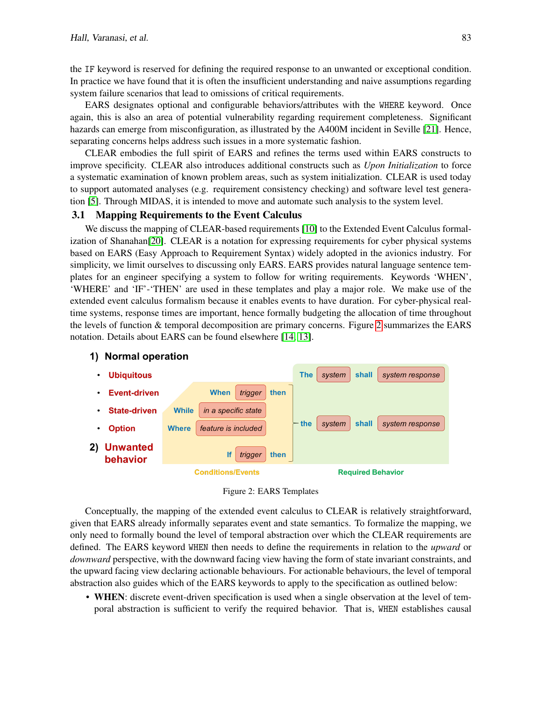the IF keyword is reserved for defining the required response to an unwanted or exceptional condition. In practice we have found that it is often the insufficient understanding and naive assumptions regarding system failure scenarios that lead to omissions of critical requirements.

EARS designates optional and configurable behaviors/attributes with the WHERE keyword. Once again, this is also an area of potential vulnerability regarding requirement completeness. Significant hazards can emerge from misconfiguration, as illustrated by the A400M incident in Seville [\[21\]](#page-11-17). Hence, separating concerns helps address such issues in a more systematic fashion.

CLEAR embodies the full spirit of EARS and refines the terms used within EARS constructs to improve specificity. CLEAR also introduces additional constructs such as *Upon Initialization* to force a systematic examination of known problem areas, such as system initialization. CLEAR is used today to support automated analyses (e.g. requirement consistency checking) and software level test generation [\[5\]](#page-11-18). Through MIDAS, it is intended to move and automate such analysis to the system level.

#### 3.1 Mapping Requirements to the Event Calculus

We discuss the mapping of CLEAR-based requirements [\[10\]](#page-11-2) to the Extended Event Calculus formalization of Shanahan[\[20\]](#page-11-5). CLEAR is a notation for expressing requirements for cyber physical systems based on EARS (Easy Approach to Requirement Syntax) widely adopted in the avionics industry. For simplicity, we limit ourselves to discussing only EARS. EARS provides natural language sentence templates for an engineer specifying a system to follow for writing requirements. Keywords 'WHEN', 'WHERE' and 'IF'-'THEN' are used in these templates and play a major role. We make use of the extended event calculus formalism because it enables events to have duration. For cyber-physical realtime systems, response times are important, hence formally budgeting the allocation of time throughout the levels of function & temporal decomposition are primary concerns. Figure [2](#page-4-0) summarizes the EARS notation. Details about EARS can be found elsewhere [\[14,](#page-11-3) [13\]](#page-11-16).

<span id="page-4-0"></span>

Figure 2: EARS Templates

Conceptually, the mapping of the extended event calculus to CLEAR is relatively straightforward, given that EARS already informally separates event and state semantics. To formalize the mapping, we only need to formally bound the level of temporal abstraction over which the CLEAR requirements are defined. The EARS keyword WHEN then needs to define the requirements in relation to the *upward* or *downward* perspective, with the downward facing view having the form of state invariant constraints, and the upward facing view declaring actionable behaviours. For actionable behaviours, the level of temporal abstraction also guides which of the EARS keywords to apply to the specification as outlined below:

• WHEN: discrete event-driven specification is used when a single observation at the level of temporal abstraction is sufficient to verify the required behavior. That is, WHEN establishes causal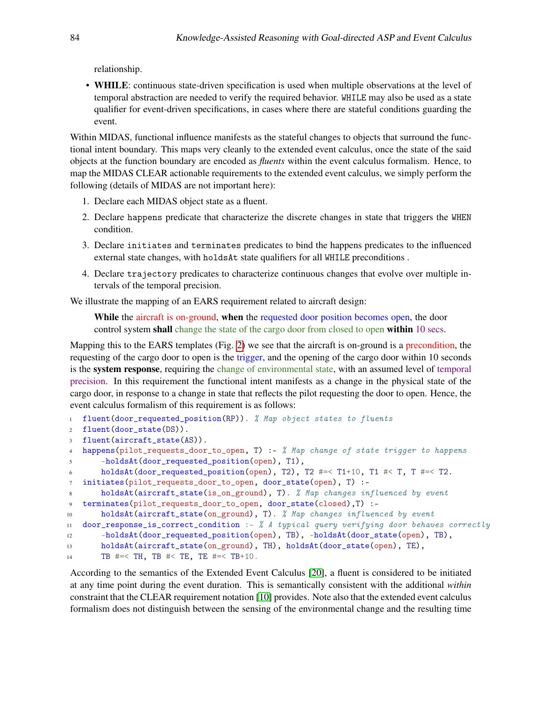relationship.

• WHILE: continuous state-driven specification is used when multiple observations at the level of temporal abstraction are needed to verify the required behavior. WHILE may also be used as a state qualifier for event-driven specifications, in cases where there are stateful conditions guarding the event.

Within MIDAS, functional influence manifests as the stateful changes to objects that surround the functional intent boundary. This maps very cleanly to the extended event calculus, once the state of the said objects at the function boundary are encoded as *fluents* within the event calculus formalism. Hence, to map the MIDAS CLEAR actionable requirements to the extended event calculus, we simply perform the following (details of MIDAS are not important here):

- 1. Declare each MIDAS object state as a fluent.
- 2. Declare happens predicate that characterize the discrete changes in state that triggers the WHEN condition.
- 3. Declare initiates and terminates predicates to bind the happens predicates to the influenced external state changes, with holdsAt state qualifiers for all WHILE preconditions .
- 4. Declare trajectory predicates to characterize continuous changes that evolve over multiple intervals of the temporal precision.

We illustrate the mapping of an EARS requirement related to aircraft design:

While the aircraft is on-ground, when the requested door position becomes open, the door control system shall change the state of the cargo door from closed to open within 10 secs.

Mapping this to the EARS templates (Fig. [2\)](#page-4-0) we see that the aircraft is on-ground is a precondition, the requesting of the cargo door to open is the trigger, and the opening of the cargo door within 10 seconds is the system response, requiring the change of environmental state, with an assumed level of temporal precision. In this requirement the functional intent manifests as a change in the physical state of the cargo door, in response to a change in state that reflects the pilot requesting the door to open. Hence, the event calculus formalism of this requirement is as follows:

```
1 fluent (door_requested_position(RP)). % Map object states to fluents
2 fluent(door_state(DS)).
3 fluent(aircraft_state(AS)).
4 happens(pilot_requests_door_to_open, T) :- % Map change of state trigger to happens
5 -holdsAt(door_requested_position(open), T1),
6 holdsAt(door_requested_position(open), T2), T2 #=< T1+10, T1 #< T, T #=< T2.
7 initiates(pilot_requests_door_to_open, door_state(open), T) :-
8 holdsAt(aircraft_state(is_on_ground), T). % Map changes influenced by event
9 terminates(pilot_requests_door_to_open, door_state(closed),T) :-
10 holdsAt(aircraft_state(on_ground), T). % Map changes influenced by event
11 door_response_is_correct_condition :- % A typical query verifying door behaves correctly
12 -holdsAt(door_requested_position(open), TB), -holdsAt(door_state(open), TB),
13 holdsAt(aircraft_state(on_ground), TH), holdsAt(door_state(open), TE),
14 TB #=< TH, TB #< TE, TE #=< TB+10.
```
According to the semantics of the Extended Event Calculus [\[20\]](#page-11-5), a fluent is considered to be initiated at any time point during the event duration. This is semantically consistent with the additional *within* constraint that the CLEAR requirement notation [\[10\]](#page-11-2) provides. Note also that the extended event calculus formalism does not distinguish between the sensing of the environmental change and the resulting time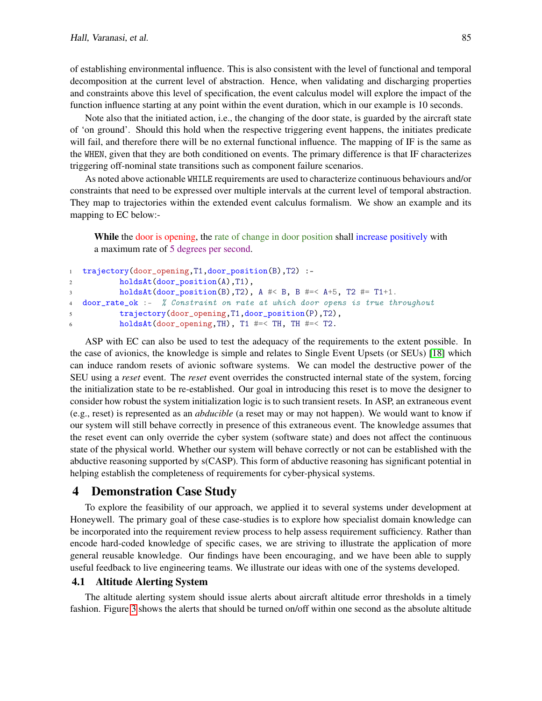of establishing environmental influence. This is also consistent with the level of functional and temporal decomposition at the current level of abstraction. Hence, when validating and discharging properties and constraints above this level of specification, the event calculus model will explore the impact of the function influence starting at any point within the event duration, which in our example is 10 seconds.

Note also that the initiated action, i.e., the changing of the door state, is guarded by the aircraft state of 'on ground'. Should this hold when the respective triggering event happens, the initiates predicate will fail, and therefore there will be no external functional influence. The mapping of IF is the same as the WHEN, given that they are both conditioned on events. The primary difference is that IF characterizes triggering off-nominal state transitions such as component failure scenarios.

As noted above actionable WHILE requirements are used to characterize continuous behaviours and/or constraints that need to be expressed over multiple intervals at the current level of temporal abstraction. They map to trajectories within the extended event calculus formalism. We show an example and its mapping to EC below:-

While the door is opening, the rate of change in door position shall increase positively with a maximum rate of 5 degrees per second.

```
1 trajectory(door_opening,T1,door_position(B),T2) :-
2 holdsAt(door_position(A),T1),
3 holdsAt(door_position(B),T2), A #< B, B #=< A+5, T2 #= T1+1.
4 door_rate_ok :- % Constraint on rate at which door opens is true throughout
5 trajectory(door_opening,T1,door_position(P),T2),
6 holdsAt(door_opening,TH), T1 #=< TH, TH #=< T2.
```
ASP with EC can also be used to test the adequacy of the requirements to the extent possible. In the case of avionics, the knowledge is simple and relates to Single Event Upsets (or SEUs) [\[18\]](#page-11-19) which can induce random resets of avionic software systems. We can model the destructive power of the SEU using a *reset* event. The *reset* event overrides the constructed internal state of the system, forcing the initialization state to be re-established. Our goal in introducing this reset is to move the designer to consider how robust the system initialization logic is to such transient resets. In ASP, an extraneous event (e.g., reset) is represented as an *abducible* (a reset may or may not happen). We would want to know if our system will still behave correctly in presence of this extraneous event. The knowledge assumes that the reset event can only override the cyber system (software state) and does not affect the continuous state of the physical world. Whether our system will behave correctly or not can be established with the abductive reasoning supported by s(CASP). This form of abductive reasoning has significant potential in helping establish the completeness of requirements for cyber-physical systems.

## <span id="page-6-0"></span>4 Demonstration Case Study

To explore the feasibility of our approach, we applied it to several systems under development at Honeywell. The primary goal of these case-studies is to explore how specialist domain knowledge can be incorporated into the requirement review process to help assess requirement sufficiency. Rather than encode hard-coded knowledge of specific cases, we are striving to illustrate the application of more general reusable knowledge. Our findings have been encouraging, and we have been able to supply useful feedback to live engineering teams. We illustrate our ideas with one of the systems developed.

### 4.1 Altitude Alerting System

The altitude alerting system should issue alerts about aircraft altitude error thresholds in a timely fashion. Figure [3](#page-7-0) shows the alerts that should be turned on/off within one second as the absolute altitude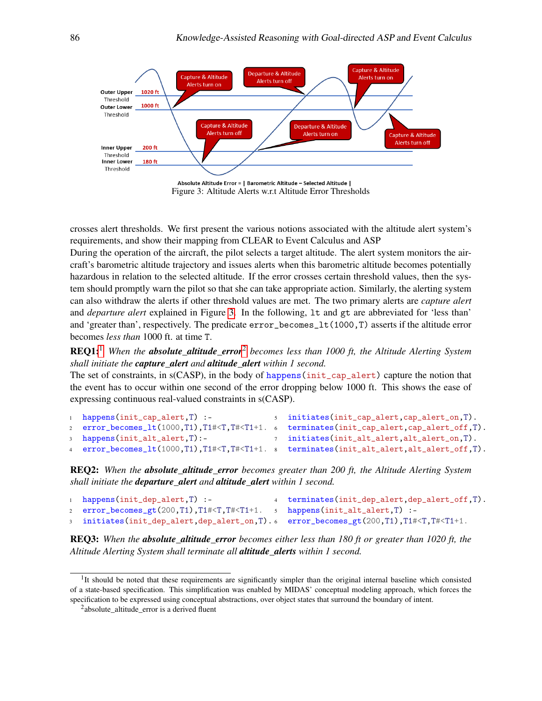<span id="page-7-0"></span>

Absolute Altitude Error = | Barometric Altitude - Selected Altitude | Figure 3: Altitude Alerts w.r.t Altitude Error Thresholds

crosses alert thresholds. We first present the various notions associated with the altitude alert system's requirements, and show their mapping from CLEAR to Event Calculus and ASP

During the operation of the aircraft, the pilot selects a target altitude. The alert system monitors the aircraft's barometric altitude trajectory and issues alerts when this barometric altitude becomes potentially hazardous in relation to the selected altitude. If the error crosses certain threshold values, then the system should promptly warn the pilot so that she can take appropriate action. Similarly, the alerting system can also withdraw the alerts if other threshold values are met. The two primary alerts are *capture alert* and *departure alert* explained in Figure [3.](#page-7-0) In the following, lt and gt are abbreviated for 'less than' and 'greater than', respectively. The predicate error\_becomes\_lt(1000,T) asserts if the altitude error becomes *less than* 1000 ft. at time T.

REQ1:[1](#page-7-1) *When the absolute\_altitude\_error*[2](#page-7-2) *becomes less than 1000 ft, the Altitude Alerting System shall initiate the capture\_alert and altitude\_alert within 1 second.*

The set of constraints, in s(CASP), in the body of happens(init\_cap\_alert) capture the notion that the event has to occur within one second of the error dropping below 1000 ft. This shows the ease of expressing continuous real-valued constraints in s(CASP).

```
1 happens(init_cap_alert,T) :-
2 error_becomes_lt(1000,T1),T1#<T,T#<T1+1. 6
3 happens(init_alt_alert,T):-
4 error_becomes_lt(1000,T1),T1#<T,T#<T1+1.
                                            5 initiates(init_cap_alert,cap_alert_on,T).
                                              6 terminates(init_cap_alert,cap_alert_off,T).
                                            7 initiates(init_alt_alert,alt_alert_on,T).
                                              8 terminates(init_alt_alert,alt_alert_off,T).
```
REQ2: *When the absolute\_altitude\_error becomes greater than 200 ft, the Altitude Alerting System shall initiate the departure\_alert and altitude\_alert within 1 second.*

```
1 happens(init_dep_alert,T) :-
2 error_becomes_gt(200,T1),T1#<T,T#<T1+1.
3 initiates(init_dep_alert,dep_alert_on,T).
6 error_becomes_gt(200,T1),T1#<T,T#<T1+1.
                                           4 terminates(init_dep_alert,dep_alert_off,T).
                                          5 happens(init_alt_alert,T) :-
```
REQ3: *When the absolute\_altitude\_error becomes either less than 180 ft or greater than 1020 ft, the Altitude Alerting System shall terminate all altitude\_alerts within 1 second.*

<span id="page-7-2"></span><sup>2</sup>absolute\_altitude\_error is a derived fluent

<span id="page-7-1"></span><sup>&</sup>lt;sup>1</sup>It should be noted that these requirements are significantly simpler than the original internal baseline which consisted of a state-based specification. This simplification was enabled by MIDAS' conceptual modeling approach, which forces the specification to be expressed using conceptual abstractions, over object states that surround the boundary of intent.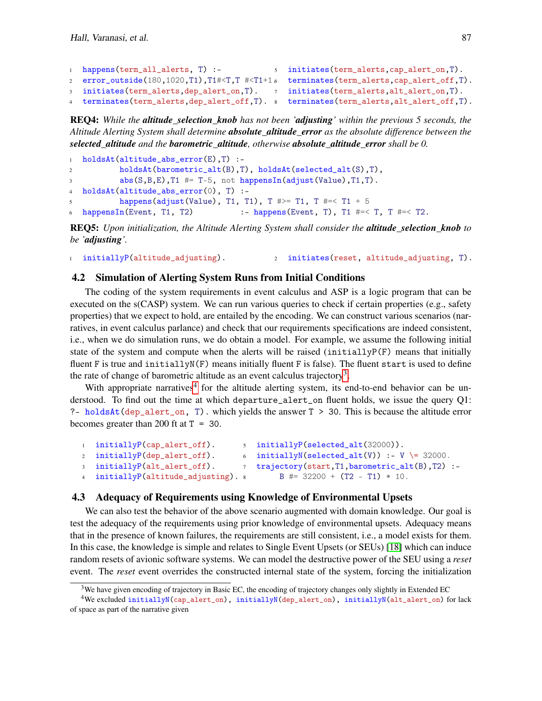```
1 happens(term_all_alerts, T) :-
5 initiates(term_alerts,cap_alert_on,T).
2 error_outside(180,1020,T1),T1#<T,T #<T1+1 6 terminates(term_alerts,cap_alert_off,T).
3 initiates(term_alerts,dep_alert_on,T).
7 initiates(term_alerts,alt_alert_on,T).
4 terminates(term_alerts,dep_alert_off,T).
8 terminates(term_alerts,alt_alert_off,T).
```
REQ4: *While the altitude\_selection\_knob has not been 'adjusting' within the previous 5 seconds, the Altitude Alerting System shall determine absolute\_altitude\_error as the absolute difference between the selected\_altitude and the barometric\_altitude, otherwise absolute\_altitude\_error shall be 0.*

```
1 holdsAt(altitude_abs_error(E),T) :-
2 holdsAt(barometric_alt(B),T), holdsAt(selected_alt(S),T),
3 abs(S,B,E),T1 #= T-5, not happensIn(adjust(Value),T1,T).
4 holdsAt(altitude_abs_error(0), T) :-
5 happens(adjust(Value), T1, T1), T #>= T1, T #=< T1 + 5
6 happensIn(Event, T1, T2) :- happens(Event, T), T1 \#=< T, T \#= < T2.
```
REQ5: *Upon initialization, the Altitude Alerting System shall consider the altitude\_selection\_knob to be 'adjusting'.*

```
1 initiallyP(altitude_adjusting). 2 initiates(reset, altitude_adjusting, T).
```
## 4.2 Simulation of Alerting System Runs from Initial Conditions

The coding of the system requirements in event calculus and ASP is a logic program that can be executed on the s(CASP) system. We can run various queries to check if certain properties (e.g., safety properties) that we expect to hold, are entailed by the encoding. We can construct various scenarios (narratives, in event calculus parlance) and check that our requirements specifications are indeed consistent, i.e., when we do simulation runs, we do obtain a model. For example, we assume the following initial state of the system and compute when the alerts will be raised (initially  $P(F)$ ) means that initially fluent F is true and initially $N(F)$  means initially fluent F is false). The fluent start is used to define the rate of change of barometric altitude as an event calculus trajectory<sup>[3](#page-8-0)</sup>.

With appropriate narratives<sup>[4](#page-8-1)</sup> for the altitude alerting system, its end-to-end behavior can be understood. To find out the time at which departure\_alert\_on fluent holds, we issue the query Q1: ?- holdsAt(dep\_alert\_on, T). which yields the answer  $T > 30$ . This is because the altitude error becomes greater than 200 ft at  $T = 30$ .

```
1 initiallyP(cap_alert_off).
2 initiallyP(dep_alert_off).
3 initiallyP(alt_alert_off).
4 initiallyP(altitude_adjusting).
                                  5 initiallyP(selected_alt(32000)).
                                  6 initiallyN(selected_alt(V)) :- V \equiv 32000.
                                  7 trajectory(start,T1,barometric_alt(B),T2) :-
                                          B #= 32200 + (T2 - T1) * 10.
```
### 4.3 Adequacy of Requirements using Knowledge of Environmental Upsets

We can also test the behavior of the above scenario augmented with domain knowledge. Our goal is test the adequacy of the requirements using prior knowledge of environmental upsets. Adequacy means that in the presence of known failures, the requirements are still consistent, i.e., a model exists for them. In this case, the knowledge is simple and relates to Single Event Upsets (or SEUs) [\[18\]](#page-11-19) which can induce random resets of avionic software systems. We can model the destructive power of the SEU using a *reset* event. The *reset* event overrides the constructed internal state of the system, forcing the initialization

<span id="page-8-1"></span><span id="page-8-0"></span> $3$ We have given encoding of trajectory in Basic EC, the encoding of trajectory changes only slightly in Extended EC

<sup>4</sup>We excluded initiallyN(cap\_alert\_on), initiallyN(dep\_alert\_on), initiallyN(alt\_alert\_on) for lack of space as part of the narrative given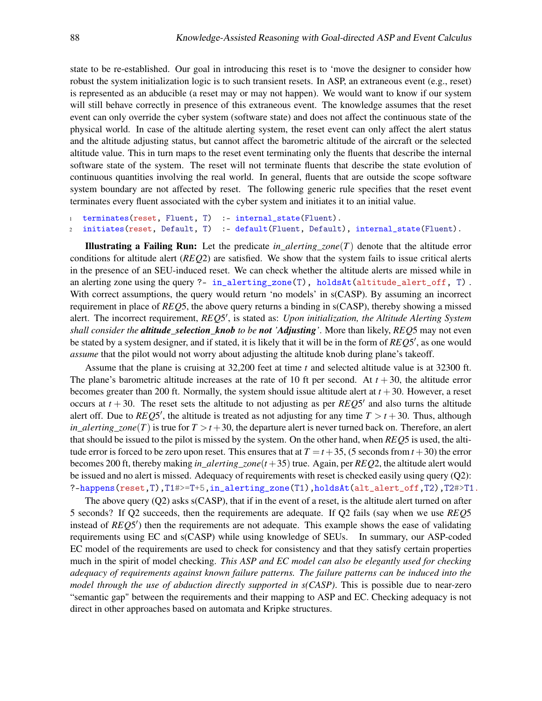state to be re-established. Our goal in introducing this reset is to 'move the designer to consider how robust the system initialization logic is to such transient resets. In ASP, an extraneous event (e.g., reset) is represented as an abducible (a reset may or may not happen). We would want to know if our system will still behave correctly in presence of this extraneous event. The knowledge assumes that the reset event can only override the cyber system (software state) and does not affect the continuous state of the physical world. In case of the altitude alerting system, the reset event can only affect the alert status and the altitude adjusting status, but cannot affect the barometric altitude of the aircraft or the selected altitude value. This in turn maps to the reset event terminating only the fluents that describe the internal software state of the system. The reset will not terminate fluents that describe the state evolution of continuous quantities involving the real world. In general, fluents that are outside the scope software system boundary are not affected by reset. The following generic rule specifies that the reset event terminates every fluent associated with the cyber system and initiates it to an initial value.

```
1 terminates(reset, Fluent, T) :- internal_state(Fluent).
2 initiates(reset, Default, T) :- default(Fluent, Default), internal_state(Fluent).
```
Illustrating a Failing Run: Let the predicate *in*\_*alerting*\_*zone*(*T*) denote that the altitude error conditions for altitude alert (*REQ*2) are satisfied. We show that the system fails to issue critical alerts in the presence of an SEU-induced reset. We can check whether the altitude alerts are missed while in an alerting zone using the query ?- in\_alerting\_zone(T), holdsAt(altitude\_alert\_off, T) . With correct assumptions, the query would return 'no models' in s(CASP). By assuming an incorrect requirement in place of *REQ*5, the above query returns a binding in s(CASP), thereby showing a missed alert. The incorrect requirement, *REQ5'*, is stated as: *Upon initialization, the Altitude Alerting System shall consider the altitude\_selection\_knob to be not 'Adjusting'*. More than likely, *REQ*5 may not even be stated by a system designer, and if stated, it is likely that it will be in the form of *REQ*5 0 , as one would *assume* that the pilot would not worry about adjusting the altitude knob during plane's takeoff.

Assume that the plane is cruising at 32,200 feet at time *t* and selected altitude value is at 32300 ft. The plane's barometric altitude increases at the rate of 10 ft per second. At  $t + 30$ , the altitude error becomes greater than 200 ft. Normally, the system should issue altitude alert at *t* +30. However, a reset occurs at  $t + 30$ . The reset sets the altitude to not adjusting as per  $REQ5'$  and also turns the altitude alert off. Due to *REQ*5', the altitude is treated as not adjusting for any time  $T > t + 30$ . Thus, although *in\_alerting\_zone*(*T*) is true for  $T > t + 30$ , the departure alert is never turned back on. Therefore, an alert that should be issued to the pilot is missed by the system. On the other hand, when *REQ*5 is used, the altitude error is forced to be zero upon reset. This ensures that at  $T = t + 35$ , (5 seconds from  $t + 30$ ) the error becomes 200 ft, thereby making *in*\_*alerting*\_*zone*(*t* +35) true. Again, per *REQ*2, the altitude alert would be issued and no alert is missed. Adequacy of requirements with reset is checked easily using query (Q2): ?-happens(reset,T),T1#>=T+5,in\_alerting\_zone(T1),holdsAt(alt\_alert\_off,T2),T2#>T1.

The above query  $(Q2)$  asks  $s(CASP)$ , that if in the event of a reset, is the altitude alert turned on after 5 seconds? If Q2 succeeds, then the requirements are adequate. If Q2 fails (say when we use *REQ*5 instead of *REQ5'*) then the requirements are not adequate. This example shows the ease of validating requirements using EC and s(CASP) while using knowledge of SEUs. In summary, our ASP-coded EC model of the requirements are used to check for consistency and that they satisfy certain properties much in the spirit of model checking. *This ASP and EC model can also be elegantly used for checking adequacy of requirements against known failure patterns. The failure patterns can be induced into the model through the use of abduction directly supported in s(CASP)*. This is possible due to near-zero "semantic gap" between the requirements and their mapping to ASP and EC. Checking adequacy is not direct in other approaches based on automata and Kripke structures.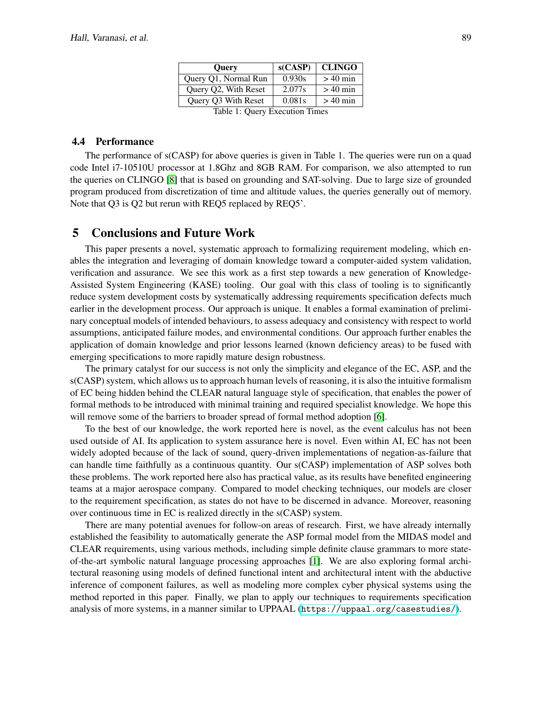| <b>Ouery</b>                                          | s(CASP) | <b>CLINGO</b> |
|-------------------------------------------------------|---------|---------------|
| Query Q1, Normal Run                                  | 0.930s  | $>40$ min     |
| Query Q2, With Reset                                  | 2.077s  | $>40$ min     |
| Query Q3 With Reset                                   | 0.081s  | $>40$ min     |
| $T_{\rm{u}}$ 11.1 $\Omega$ $\Gamma$ $\Gamma$ $\Gamma$ |         |               |

Table 1: Query Execution Times

## 4.4 Performance

The performance of s(CASP) for above queries is given in Table 1. The queries were run on a quad code Intel i7-10510U processor at 1.8Ghz and 8GB RAM. For comparison, we also attempted to run the queries on CLINGO [\[8\]](#page-11-13) that is based on grounding and SAT-solving. Due to large size of grounded program produced from discretization of time and altitude values, the queries generally out of memory. Note that Q3 is Q2 but rerun with REQ5 replaced by REQ5'.

## <span id="page-10-0"></span>5 Conclusions and Future Work

This paper presents a novel, systematic approach to formalizing requirement modeling, which enables the integration and leveraging of domain knowledge toward a computer-aided system validation, verification and assurance. We see this work as a first step towards a new generation of Knowledge-Assisted System Engineering (KASE) tooling. Our goal with this class of tooling is to significantly reduce system development costs by systematically addressing requirements specification defects much earlier in the development process. Our approach is unique. It enables a formal examination of preliminary conceptual models of intended behaviours, to assess adequacy and consistency with respect to world assumptions, anticipated failure modes, and environmental conditions. Our approach further enables the application of domain knowledge and prior lessons learned (known deficiency areas) to be fused with emerging specifications to more rapidly mature design robustness.

The primary catalyst for our success is not only the simplicity and elegance of the EC, ASP, and the s(CASP) system, which allows us to approach human levels of reasoning, it is also the intuitive formalism of EC being hidden behind the CLEAR natural language style of specification, that enables the power of formal methods to be introduced with minimal training and required specialist knowledge. We hope this will remove some of the barriers to broader spread of formal method adoption [\[6\]](#page-11-20).

To the best of our knowledge, the work reported here is novel, as the event calculus has not been used outside of AI. Its application to system assurance here is novel. Even within AI, EC has not been widely adopted because of the lack of sound, query-driven implementations of negation-as-failure that can handle time faithfully as a continuous quantity. Our s(CASP) implementation of ASP solves both these problems. The work reported here also has practical value, as its results have benefited engineering teams at a major aerospace company. Compared to model checking techniques, our models are closer to the requirement specification, as states do not have to be discerned in advance. Moreover, reasoning over continuous time in EC is realized directly in the s(CASP) system.

There are many potential avenues for follow-on areas of research. First, we have already internally established the feasibility to automatically generate the ASP formal model from the MIDAS model and CLEAR requirements, using various methods, including simple definite clause grammars to more stateof-the-art symbolic natural language processing approaches [\[1\]](#page-11-21). We are also exploring formal architectural reasoning using models of defined functional intent and architectural intent with the abductive inference of component failures, as well as modeling more complex cyber physical systems using the method reported in this paper. Finally, we plan to apply our techniques to requirements specification analysis of more systems, in a manner similar to UPPAAL (<https://uppaal.org/casestudies/>).